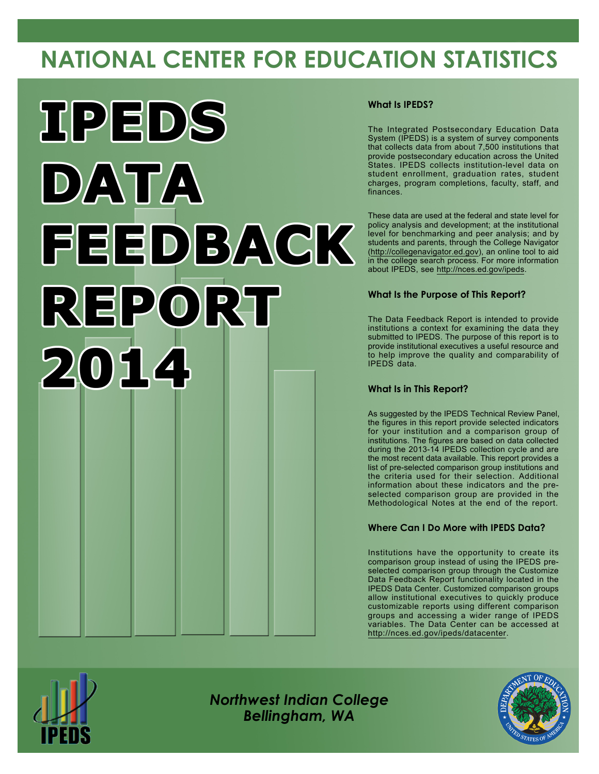# **NATIONAL CENTER FOR EDUCATION STATISTICS**



#### **What Is IPEDS?**

The Integrated Postsecondary Education Data System (IPEDS) is a system of survey components that collects data from about 7,500 institutions that provide postsecondary education across the United States. IPEDS collects institution-level data on student enrollment, graduation rates, student charges, program completions, faculty, staff, and finances.

These data are used at the federal and state level for policy analysis and development; at the institutional level for benchmarking and peer analysis; and by students and parents, through the College Navigator [\(http://collegenavigator.ed.gov](http://collegenavigator.ed.gov)), an online tool to aid in the college search process. For more information about IPEDS, see <http://nces.ed.gov/ipeds>.

#### **What Is the Purpose of This Report?**

The Data Feedback Report is intended to provide institutions a context for examining the data they submitted to IPEDS. The purpose of this report is to provide institutional executives a useful resource and to help improve the quality and comparability of IPEDS data.

#### **What Is in This Report?**

As suggested by the IPEDS Technical Review Panel, the figures in this report provide selected indicators for your institution and a comparison group of institutions. The figures are based on data collected during the 2013-14 IPEDS collection cycle and are the most recent data available. This report provides a list of pre-selected comparison group institutions and the criteria used for their selection. Additional information about these indicators and the preselected comparison group are provided in the Methodological Notes at the end of the report.

### **Where Can I Do More with IPEDS Data?**

Institutions have the opportunity to create its comparison group instead of using the IPEDS preselected comparison group through the Customize Data Feedback Report functionality located in the IPEDS Data Center. Customized comparison groups allow institutional executives to quickly produce customizable reports using different comparison groups and accessing a wider range of IPEDS variables. The Data Center can be accessed at <http://nces.ed.gov/ipeds/datacenter>.



*Northwest Indian College Bellingham, WA*

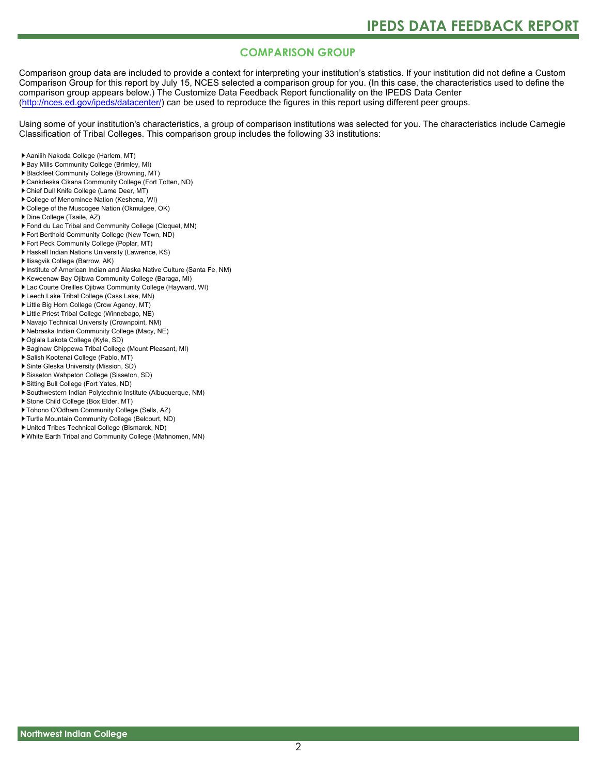#### **COMPARISON GROUP**

Comparison group data are included to provide a context for interpreting your institution's statistics. If your institution did not define a Custom Comparison Group for this report by July 15, NCES selected a comparison group for you. (In this case, the characteristics used to define the comparison group appears below.) The Customize Data Feedback Report functionality on the IPEDS Data Center [\(http://nces.ed.gov/ipeds/datacenter/\)](http://nces.ed.gov/ipeds/datacenter/) can be used to reproduce the figures in this report using different peer groups.

Using some of your institution's characteristics, a group of comparison institutions was selected for you. The characteristics include Carnegie Classification of Tribal Colleges. This comparison group includes the following 33 institutions:

- Aaniiih Nakoda College (Harlem, MT)
- Bay Mills Community College (Brimley, MI)
- Blackfeet Community College (Browning, MT)
- Cankdeska Cikana Community College (Fort Totten, ND)
- Chief Dull Knife College (Lame Deer, MT)
- College of Menominee Nation (Keshena, WI)
- College of the Muscogee Nation (Okmulgee, OK)
- Dine College (Tsaile, AZ)
- Fond du Lac Tribal and Community College (Cloquet, MN)
- Fort Berthold Community College (New Town, ND)
- Fort Peck Community College (Poplar, MT)
- Haskell Indian Nations University (Lawrence, KS)
- Ilisagvik College (Barrow, AK)
- Institute of American Indian and Alaska Native Culture (Santa Fe, NM)
- Keweenaw Bay Ojibwa Community College (Baraga, MI)
- Lac Courte Oreilles Ojibwa Community College (Hayward, WI)
- Leech Lake Tribal College (Cass Lake, MN)
- Little Big Horn College (Crow Agency, MT)
- Little Priest Tribal College (Winnebago, NE)
- Navajo Technical University (Crownpoint, NM)
- Nebraska Indian Community College (Macy, NE)
- Oglala Lakota College (Kyle, SD)
- Saginaw Chippewa Tribal College (Mount Pleasant, MI)
- Salish Kootenai College (Pablo, MT)
- Sinte Gleska University (Mission, SD)
- Sisseton Wahpeton College (Sisseton, SD)
- Sitting Bull College (Fort Yates, ND)
- Southwestern Indian Polytechnic Institute (Albuquerque, NM)
- Stone Child College (Box Elder, MT)
- Tohono O'Odham Community College (Sells, AZ)
- Turtle Mountain Community College (Belcourt, ND)
- United Tribes Technical College (Bismarck, ND)
- White Earth Tribal and Community College (Mahnomen, MN)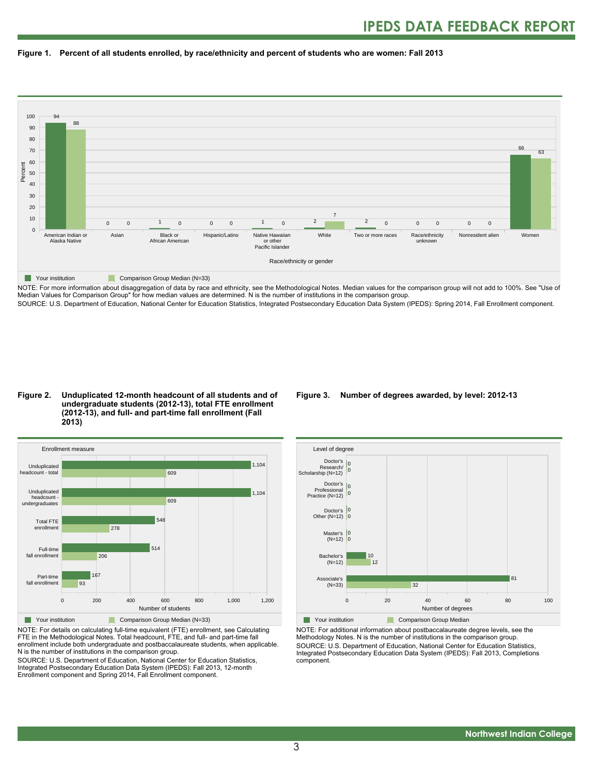



NOTE: For more information about disaggregation of data by race and ethnicity, see the Methodological Notes. Median values for the comparison group will not add to 100%. See "Use of Median Values for Comparison Group" for how median values are determined. N is the number of institutions in the comparison group.

SOURCE: U.S. Department of Education, National Center for Education Statistics, Integrated Postsecondary Education Data System (IPEDS): Spring 2014, Fall Enrollment component.

#### **Figure 2. Unduplicated 12-month headcount of all students and of undergraduate students (2012-13), total FTE enrollment (2012-13), and full- and part-time fall enrollment (Fall 2013)**



NOTE: For details on calculating full-time equivalent (FTE) enrollment, see Calculating FTE in the Methodological Notes. Total headcount, FTE, and full- and part-time fall enrollment include both undergraduate and postbaccalaureate students, when applicable. N is the number of institutions in the comparison group.

SOURCE: U.S. Department of Education, National Center for Education Statistics, Integrated Postsecondary Education Data System (IPEDS): Fall 2013, 12-month Enrollment component and Spring 2014, Fall Enrollment component.

#### **Figure 3. Number of degrees awarded, by level: 2012-13**



**The Comparison Group Median** 

NOTE: For additional information about postbaccalaureate degree levels, see the Methodology Notes. N is the number of institutions in the comparison group. SOURCE: U.S. Department of Education, National Center for Education Statistics, Integrated Postsecondary Education Data System (IPEDS): Fall 2013, Completions component.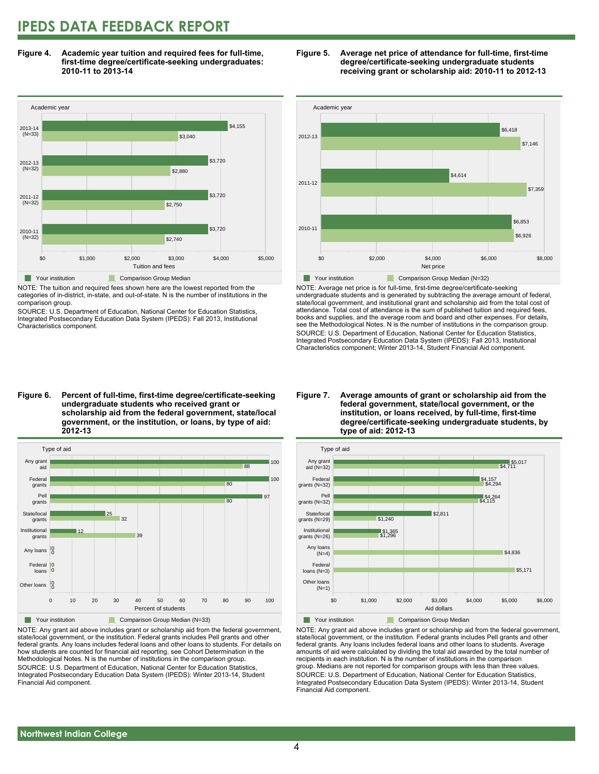### **IPEDS DATA FEEDBACK REPORT**

**Figure 4. Academic year tuition and required fees for full-time, first-time degree/certificate-seeking undergraduates: 2010-11 to 2013-14**



NOTE: The tuition and required fees shown here are the lowest reported from the categories of in-district, in-state, and out-of-state. N is the number of institutions in the comparison group.

SOURCE: U.S. Department of Education, National Center for Education Statistics, Integrated Postsecondary Education Data System (IPEDS): Fall 2013, Institutional Characteristics component.





NOTE: Average net price is for full-time, first-time degree/certificate-seeking undergraduate students and is generated by subtracting the average amount of federal, state/local government, and institutional grant and scholarship aid from the total cost of attendance. Total cost of attendance is the sum of published tuition and required fees, books and supplies, and the average room and board and other expenses. For details, see the Methodological Notes. N is the number of institutions in the comparison group. SOURCE: U.S. Department of Education, National Center for Education Statistics, Integrated Postsecondary Education Data System (IPEDS): Fall 2013, Institutional Characteristics component; Winter 2013-14, Student Financial Aid component.

**Figure 6. Percent of full-time, first-time degree/certificate-seeking undergraduate students who received grant or scholarship aid from the federal government, state/local government, or the institution, or loans, by type of aid: 2012-13**



NOTE: Any grant aid above includes grant or scholarship aid from the federal government, state/local government, or the institution. Federal grants includes Pell grants and other federal grants. Any loans includes federal loans and other loans to students. For details on how students are counted for financial aid reporting, see Cohort Determination in the Methodological Notes. N is the number of institutions in the comparison group. SOURCE: U.S. Department of Education, National Center for Education Statistics, Integrated Postsecondary Education Data System (IPEDS): Winter 2013-14, Student Financial Aid component.

#### **Figure 7. Average amounts of grant or scholarship aid from the federal government, state/local government, or the institution, or loans received, by full-time, first-time degree/certificate-seeking undergraduate students, by type of aid: 2012-13**



NOTE: Any grant aid above includes grant or scholarship aid from the federal government, state/local government, or the institution. Federal grants includes Pell grants and other federal grants. Any loans includes federal loans and other loans to students. Average amounts of aid were calculated by dividing the total aid awarded by the total number of recipients in each institution. N is the number of institutions in the comparison group. Medians are not reported for comparison groups with less than three values. SOURCE: U.S. Department of Education, National Center for Education Statistics, Integrated Postsecondary Education Data System (IPEDS): Winter 2013-14, Student Financial Aid component.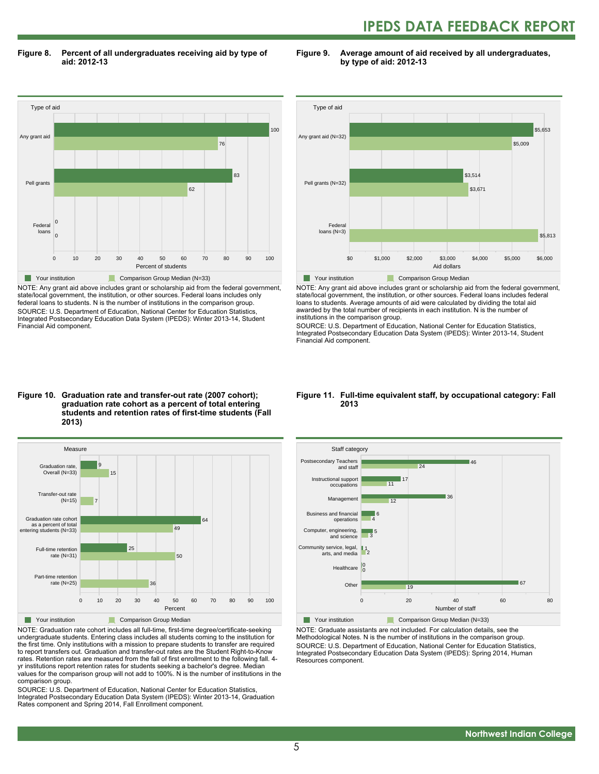## **IPEDS DATA FEEDBACK REPORT**

**Figure 8. Percent of all undergraduates receiving aid by type of aid: 2012-13**

**Figure 9. Average amount of aid received by all undergraduates, by type of aid: 2012-13**



NOTE: Any grant aid above includes grant or scholarship aid from the federal government, state/local government, the institution, or other sources. Federal loans includes only federal loans to students. N is the number of institutions in the comparison group. SOURCE: U.S. Department of Education, National Center for Education Statistics, Integrated Postsecondary Education Data System (IPEDS): Winter 2013-14, Student Financial Aid component.



NOTE: Any grant aid above includes grant or scholarship aid from the federal government, state/local government, the institution, or other sources. Federal loans includes federal loans to students. Average amounts of aid were calculated by dividing the total aid awarded by the total number of recipients in each institution. N is the number of institutions in the comparison group.

SOURCE: U.S. Department of Education, National Center for Education Statistics, Integrated Postsecondary Education Data System (IPEDS): Winter 2013-14, Student Financial Aid component.

#### **Figure 10. Graduation rate and transfer-out rate (2007 cohort); graduation rate cohort as a percent of total entering students and retention rates of first-time students (Fall 2013)**



NOTE: Graduation rate cohort includes all full-time, first-time degree/certificate-seeking undergraduate students. Entering class includes all students coming to the institution for the first time. Only institutions with a mission to prepare students to transfer are required to report transfers out. Graduation and transfer-out rates are the Student Right-to-Know rates. Retention rates are measured from the fall of first enrollment to the following fall. 4 yr institutions report retention rates for students seeking a bachelor's degree. Median values for the comparison group will not add to 100%. N is the number of institutions in the comparison group.

SOURCE: U.S. Department of Education, National Center for Education Statistics, Integrated Postsecondary Education Data System (IPEDS): Winter 2013-14, Graduation Rates component and Spring 2014, Fall Enrollment component.

#### **Figure 11. Full-time equivalent staff, by occupational category: Fall 2013**



NOTE: Graduate assistants are not included. For calculation details, see the Methodological Notes. N is the number of institutions in the comparison group. SOURCE: U.S. Department of Education, National Center for Education Statistics, Integrated Postsecondary Education Data System (IPEDS): Spring 2014, Human Resources component.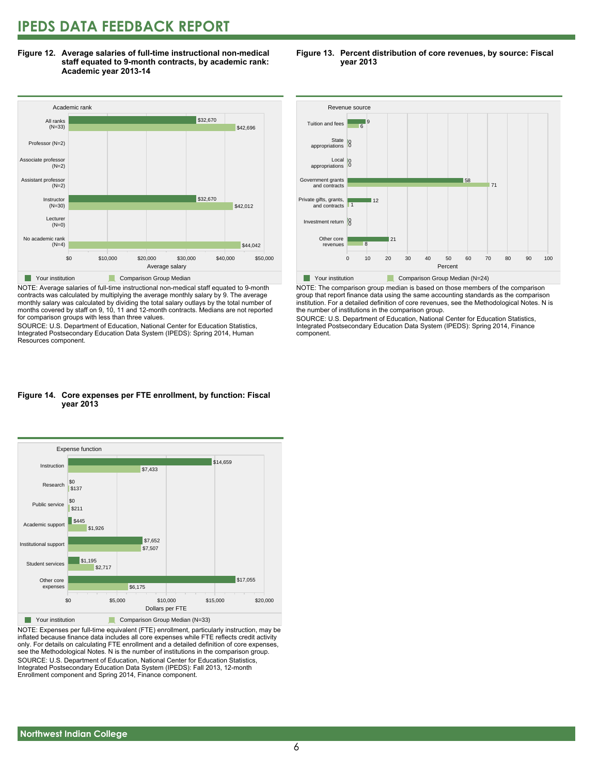### **IPEDS DATA FEEDBACK REPORT**

**Figure 12. Average salaries of full-time instructional non-medical staff equated to 9-month contracts, by academic rank: Academic year 2013-14**



NOTE: Average salaries of full-time instructional non-medical staff equated to 9-month contracts was calculated by multiplying the average monthly salary by 9. The average monthly salary was calculated by dividing the total salary outlays by the total number of months covered by staff on 9, 10, 11 and 12-month contracts. Medians are not reported for comparison groups with less than three values.

SOURCE: U.S. Department of Education, National Center for Education Statistics, Integrated Postsecondary Education Data System (IPEDS): Spring 2014, Human Resources component.

#### **Figure 13. Percent distribution of core revenues, by source: Fiscal year 2013**



NOTE: The comparison group median is based on those members of the comparison group that report finance data using the same accounting standards as the comparison institution. For a detailed definition of core revenues, see the Methodological Notes. N is the number of institutions in the comparison group.

SOURCE: U.S. Department of Education, National Center for Education Statistics, Integrated Postsecondary Education Data System (IPEDS): Spring 2014, Finance component.

#### **Figure 14. Core expenses per FTE enrollment, by function: Fiscal year 2013**



NOTE: Expenses per full-time equivalent (FTE) enrollment, particularly instruction, may be inflated because finance data includes all core expenses while FTE reflects credit activity only. For details on calculating FTE enrollment and a detailed definition of core expenses, see the Methodological Notes. N is the number of institutions in the comparison group. SOURCE: U.S. Department of Education, National Center for Education Statistics, Integrated Postsecondary Education Data System (IPEDS): Fall 2013, 12-month Enrollment component and Spring 2014, Finance component.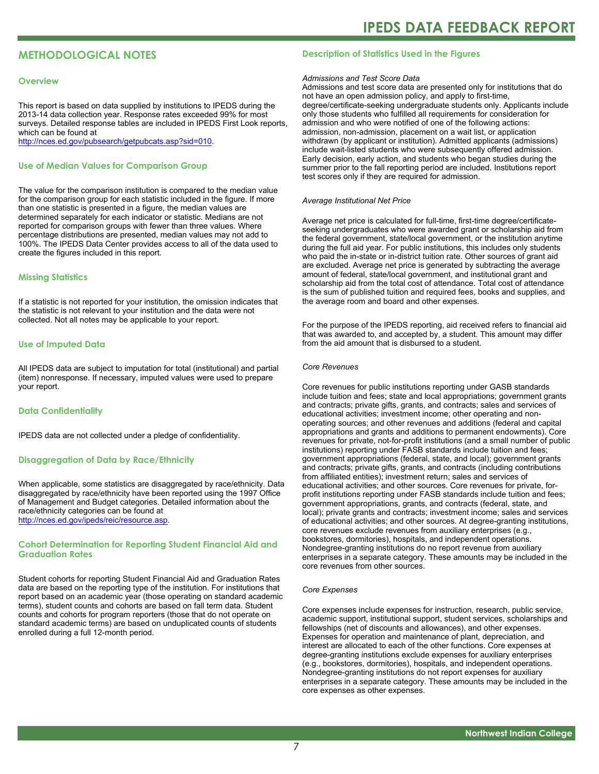#### **METHODOLOGICAL NOTES**

#### **Overview**

This report is based on data supplied by institutions to IPEDS during the 2013-14 data collection year. Response rates exceeded 99% for most surveys. Detailed response tables are included in IPEDS First Look reports, which can be found at [http://nces.ed.gov/pubsearch/getpubcats.asp?sid=010.](http://nces.ed.gov/pubsearch/getpubcats.asp?sid=010)

#### **Use of Median Values for Comparison Group**

The value for the comparison institution is compared to the median value for the comparison group for each statistic included in the figure. If more than one statistic is presented in a figure, the median values are determined separately for each indicator or statistic. Medians are not reported for comparison groups with fewer than three values. Where percentage distributions are presented, median values may not add to 100%. The IPEDS Data Center provides access to all of the data used to create the figures included in this report.

#### **Missing Statistics**

If a statistic is not reported for your institution, the omission indicates that the statistic is not relevant to your institution and the data were not collected. Not all notes may be applicable to your report.

#### **Use of Imputed Data**

All IPEDS data are subject to imputation for total (institutional) and partial (item) nonresponse. If necessary, imputed values were used to prepare your report.

#### **Data Confidentiality**

IPEDS data are not collected under a pledge of confidentiality.

#### **Disaggregation of Data by Race/Ethnicity**

When applicable, some statistics are disaggregated by race/ethnicity. Data disaggregated by race/ethnicity have been reported using the 1997 Office of Management and Budget categories. Detailed information about the race/ethnicity categories can be found at <http://nces.ed.gov/ipeds/reic/resource.asp>.

#### **Cohort Determination for Reporting Student Financial Aid and Graduation Rates**

Student cohorts for reporting Student Financial Aid and Graduation Rates data are based on the reporting type of the institution. For institutions that report based on an academic year (those operating on standard academic terms), student counts and cohorts are based on fall term data. Student counts and cohorts for program reporters (those that do not operate on standard academic terms) are based on unduplicated counts of students enrolled during a full 12-month period.

#### **Description of Statistics Used in the Figures**

#### *Admissions and Test Score Data*

Admissions and test score data are presented only for institutions that do not have an open admission policy, and apply to first-time, degree/certificate-seeking undergraduate students only. Applicants include only those students who fulfilled all requirements for consideration for admission and who were notified of one of the following actions: admission, non-admission, placement on a wait list, or application withdrawn (by applicant or institution). Admitted applicants (admissions) include wait-listed students who were subsequently offered admission. Early decision, early action, and students who began studies during the summer prior to the fall reporting period are included. Institutions report test scores only if they are required for admission.

#### *Average Institutional Net Price*

Average net price is calculated for full-time, first-time degree/certificateseeking undergraduates who were awarded grant or scholarship aid from the federal government, state/local government, or the institution anytime during the full aid year. For public institutions, this includes only students who paid the in-state or in-district tuition rate. Other sources of grant aid are excluded. Average net price is generated by subtracting the average amount of federal, state/local government, and institutional grant and scholarship aid from the total cost of attendance. Total cost of attendance is the sum of published tuition and required fees, books and supplies, and the average room and board and other expenses.

For the purpose of the IPEDS reporting, aid received refers to financial aid that was awarded to, and accepted by, a student. This amount may differ from the aid amount that is disbursed to a student.

#### *Core Revenues*

Core revenues for public institutions reporting under GASB standards include tuition and fees; state and local appropriations; government grants and contracts; private gifts, grants, and contracts; sales and services of educational activities; investment income; other operating and nonoperating sources; and other revenues and additions (federal and capital appropriations and grants and additions to permanent endowments). Core revenues for private, not-for-profit institutions (and a small number of public institutions) reporting under FASB standards include tuition and fees; government appropriations (federal, state, and local); government grants and contracts; private gifts, grants, and contracts (including contributions from affiliated entities); investment return; sales and services of educational activities; and other sources. Core revenues for private, forprofit institutions reporting under FASB standards include tuition and fees; government appropriations, grants, and contracts (federal, state, and local); private grants and contracts; investment income; sales and services of educational activities; and other sources. At degree-granting institutions, core revenues exclude revenues from auxiliary enterprises (e.g., bookstores, dormitories), hospitals, and independent operations. Nondegree-granting institutions do no report revenue from auxiliary enterprises in a separate category. These amounts may be included in the core revenues from other sources.

#### *Core Expenses*

Core expenses include expenses for instruction, research, public service, academic support, institutional support, student services, scholarships and fellowships (net of discounts and allowances), and other expenses. Expenses for operation and maintenance of plant, depreciation, and interest are allocated to each of the other functions. Core expenses at degree-granting institutions exclude expenses for auxiliary enterprises (e.g., bookstores, dormitories), hospitals, and independent operations. Nondegree-granting institutions do not report expenses for auxiliary enterprises in a separate category. These amounts may be included in the core expenses as other expenses.